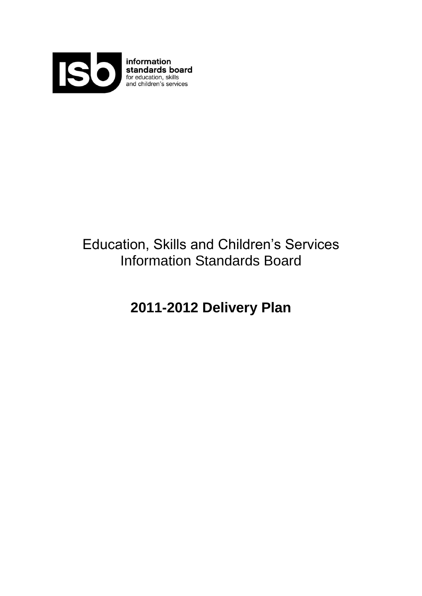

**information**<br>**standards board**<br>for education, skills<br>and children's services

# Education, Skills and Children"s Services Information Standards Board

## **2011-2012 Delivery Plan**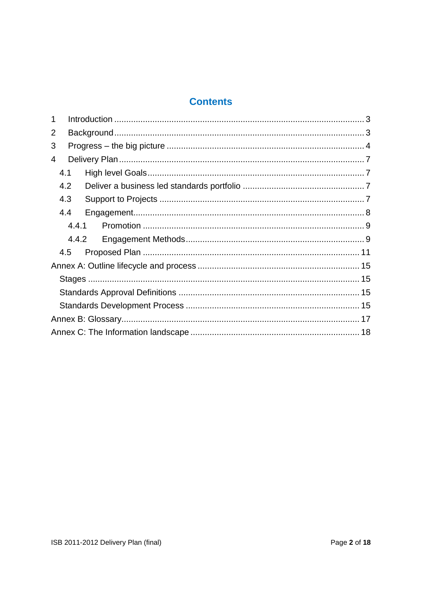## **Contents**

| 1     |  |
|-------|--|
| 2     |  |
| 3     |  |
| 4     |  |
| 4.1   |  |
| 4.2   |  |
| 4.3   |  |
| 4.4   |  |
| 4.4.1 |  |
| 4.4.2 |  |
| 4.5   |  |
|       |  |
|       |  |
|       |  |
|       |  |
|       |  |
|       |  |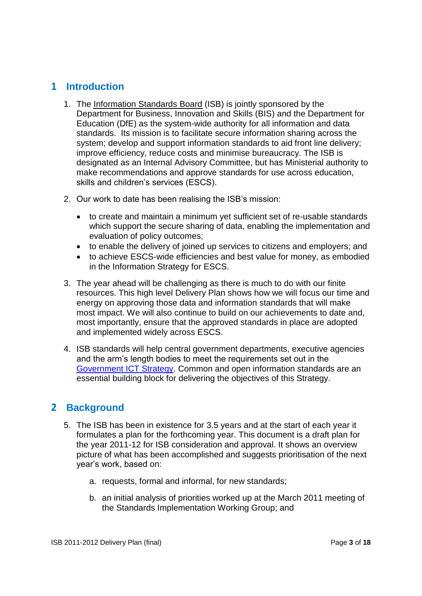## <span id="page-2-0"></span>**1 Introduction**

- 1. The [Information Standards Board](http://data.gov.uk/education-standards/) (ISB) is jointly sponsored by the Department for Business, Innovation and Skills (BIS) and the Department for Education (DfE) as the system-wide authority for all information and data standards. Its mission is to facilitate secure information sharing across the system; develop and support information standards to aid front line delivery; improve efficiency, reduce costs and minimise bureaucracy. The ISB is designated as an Internal Advisory Committee, but has Ministerial authority to make recommendations and approve standards for use across education, skills and children"s services (ESCS).
- 2. Our work to date has been realising the ISB"s mission:
	- to create and maintain a minimum yet sufficient set of re-usable standards which support the secure sharing of data, enabling the implementation and evaluation of policy outcomes;
	- to enable the delivery of joined up services to citizens and employers; and
	- to achieve ESCS-wide efficiencies and best value for money, as embodied in the Information Strategy for ESCS.
- 3. The year ahead will be challenging as there is much to do with our finite resources. This high level Delivery Plan shows how we will focus our time and energy on approving those data and information standards that will make most impact. We will also continue to build on our achievements to date and, most importantly, ensure that the approved standards in place are adopted and implemented widely across ESCS.
- 4. ISB standards will help central government departments, executive agencies and the arm"s length bodies to meet the requirements set out in the [Government ICT Strategy.](https://www.gov.uk/government/collections/ict-strategy-resources) Common and open information standards are an essential building block for delivering the objectives of this Strategy.

### <span id="page-2-1"></span>**2 Background**

- 5. The ISB has been in existence for 3.5 years and at the start of each year it formulates a plan for the forthcoming year. This document is a draft plan for the year 2011-12 for ISB consideration and approval. It shows an overview picture of what has been accomplished and suggests prioritisation of the next year"s work, based on:
	- a. requests, formal and informal, for new standards;
	- b. an initial analysis of priorities worked up at the March 2011 meeting of the Standards Implementation Working Group; and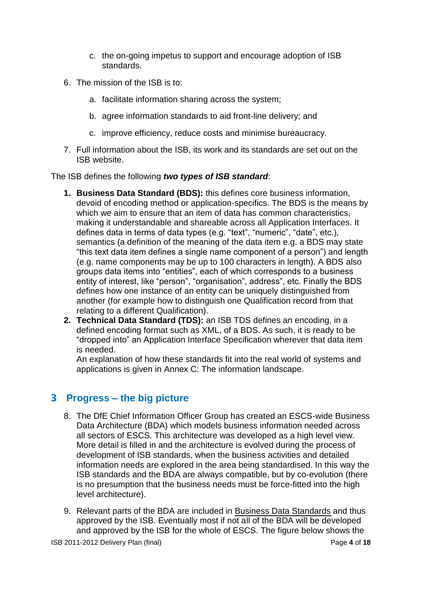- c. the on-going impetus to support and encourage adoption of ISB standards.
- 6. The mission of the ISB is to:
	- a. facilitate information sharing across the system;
	- b. agree information standards to aid front-line delivery; and
	- c. improve efficiency, reduce costs and minimise bureaucracy.
- 7. Full information about the ISB, its work and its standards are set out on the ISB website.

The ISB defines the following *two types of ISB standard*:

- **1. Business Data Standard (BDS):** this defines core business information, devoid of encoding method or application-specifics. The BDS is the means by which we aim to ensure that an item of data has common characteristics, making it understandable and shareable across all Application Interfaces. It defines data in terms of data types (e.g. "text", "numeric", "date", etc.), semantics (a definition of the meaning of the data item e.g. a BDS may state "this text data item defines a single name component of a person") and length (e.g. name components may be up to 100 characters in length). A BDS also groups data items into "entities", each of which corresponds to a business entity of interest, like "person", "organisation", address", etc. Finally the BDS defines how one instance of an entity can be uniquely distinguished from another (for example how to distinguish one Qualification record from that relating to a different Qualification).
- **2. Technical Data Standard (TDS):** an ISB TDS defines an encoding, in a defined encoding format such as XML, of a BDS. As such, it is ready to be "dropped into" an Application Interface Specification wherever that data item is needed.

An explanation of how these standards fit into the real world of systems and applications is given in [Annex C: The information landscape.](#page-17-0)

## <span id="page-3-0"></span>**3 Progress – the big picture**

- 8. The DfE Chief Information Officer Group has created an ESCS-wide Business Data Architecture (BDA) which models business information needed across all sectors of ESCS. This architecture was developed as a high level view. More detail is filled in and the architecture is evolved during the process of development of ISB standards, when the business activities and detailed information needs are explored in the area being standardised. In this way the ISB standards and the BDA are always compatible, but by co-evolution (there is no presumption that the business needs must be force-fitted into the high level architecture).
- 9. Relevant parts of the BDA are included in [Business Data Standards](http://data.gov.uk/education-standards/standards) and thus approved by the ISB. Eventually most if not all of the BDA will be developed and approved by the ISB for the whole of ESCS. The figure below shows the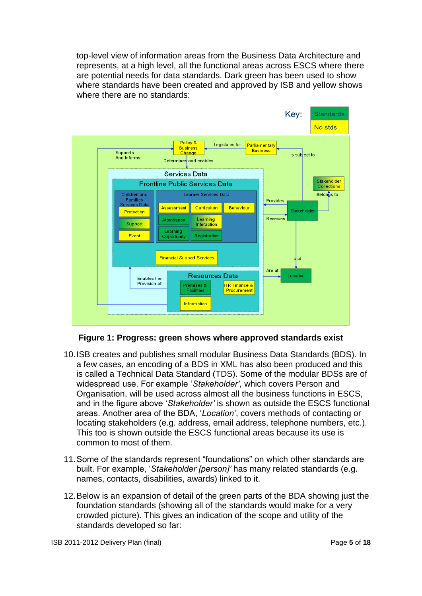top-level view of information areas from the Business Data Architecture and represents, at a high level, all the functional areas across ESCS where there are potential needs for data standards. Dark green has been used to show where standards have been created and approved by ISB and yellow shows where there are no standards:



**Figure 1: Progress: green shows where approved standards exist**

- 10.ISB creates and publishes small modular Business Data Standards (BDS). In a few cases, an encoding of a BDS in XML has also been produced and this is called a Technical Data Standard (TDS). Some of the modular BDSs are of widespread use. For example "*Stakeholder'*, which covers Person and Organisation, will be used across almost all the business functions in ESCS, and in the figure above "*Stakeholder'* is shown as outside the ESCS functional areas. Another area of the BDA, "*Location'*, covers methods of contacting or locating stakeholders (e.g. address, email address, telephone numbers, etc.). This too is shown outside the ESCS functional areas because its use is common to most of them.
- 11.Some of the standards represent "foundations" on which other standards are built. For example, "*Stakeholder [person]'* has many related standards (e.g. names, contacts, disabilities, awards) linked to it.
- 12.Below is an expansion of detail of the green parts of the BDA showing just the foundation standards (showing all of the standards would make for a very crowded picture). This gives an indication of the scope and utility of the standards developed so far: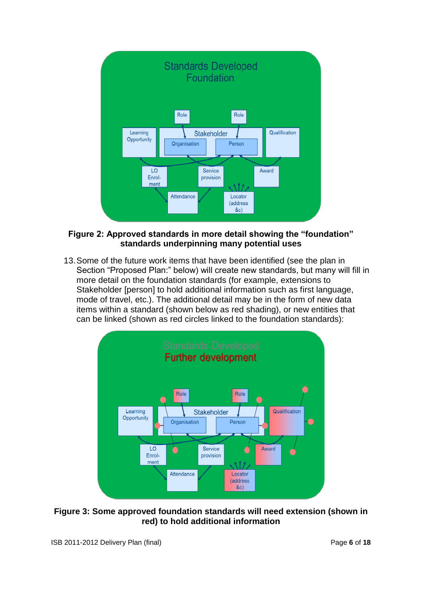

#### **Figure 2: Approved standards in more detail showing the "foundation" standards underpinning many potential uses**

13.Some of the future work items that have been identified (see the plan in Section "Proposed Plan:" below) will create new standards, but many will fill in more detail on the foundation standards (for example, extensions to Stakeholder [person] to hold additional information such as first language, mode of travel, etc.). The additional detail may be in the form of new data items within a standard (shown below as red shading), or new entities that can be linked (shown as red circles linked to the foundation standards):



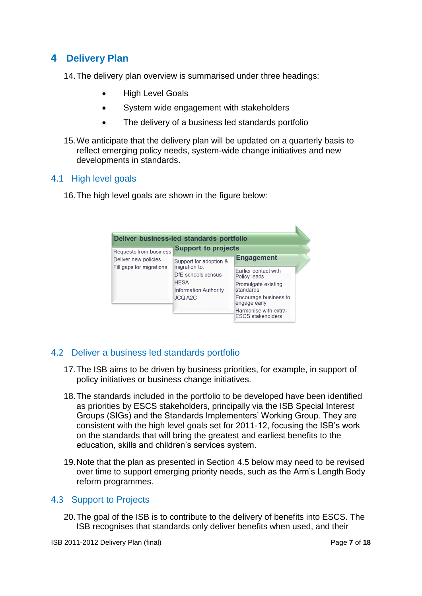## <span id="page-6-0"></span>**4 Delivery Plan**

14.The delivery plan overview is summarised under three headings:

- High Level Goals
- System wide engagement with stakeholders
- The delivery of a business led standards portfolio
- 15.We anticipate that the delivery plan will be updated on a quarterly basis to reflect emerging policy needs, system-wide change initiatives and new developments in standards.

#### <span id="page-6-1"></span>4.1 High level goals

16.The high level goals are shown in the figure below:

|                                                | Deliver business-led standards portfolio<br><b>Support to projects</b>                        |                                                                                                                                                                               |  |
|------------------------------------------------|-----------------------------------------------------------------------------------------------|-------------------------------------------------------------------------------------------------------------------------------------------------------------------------------|--|
| Requests from business<br>Deliver new policies | Support for adoption &                                                                        | <b>Engagement</b>                                                                                                                                                             |  |
| Fill gaps for migrations                       | migration to:<br>DfE schools census<br><b>HESA</b><br><b>Information Authority</b><br>JCQ A2C | <b>Farlier contact with</b><br>Policy leads<br>Promulgate existing<br>standards<br>Encourage business to<br>engage early<br>Harmonise with extra-<br><b>ESCS stakeholders</b> |  |

#### <span id="page-6-2"></span>4.2 Deliver a business led standards portfolio

- 17.The ISB aims to be driven by business priorities, for example, in support of policy initiatives or business change initiatives.
- 18.The standards included in the portfolio to be developed have been identified as priorities by ESCS stakeholders, principally via the ISB Special Interest Groups (SIGs) and the Standards Implementers" Working Group. They are consistent with the high level goals set for 2011-12, focusing the ISB"s work on the standards that will bring the greatest and earliest benefits to the education, skills and children"s services system.
- 19.Note that the plan as presented in Section [4.5 below](#page-10-0) may need to be revised over time to support emerging priority needs, such as the Arm"s Length Body reform programmes.

#### <span id="page-6-3"></span>4.3 Support to Projects

20.The goal of the ISB is to contribute to the delivery of benefits into ESCS. The ISB recognises that standards only deliver benefits when used, and their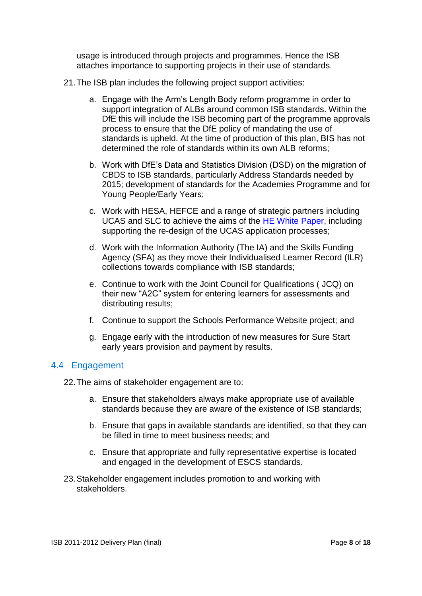usage is introduced through projects and programmes. Hence the ISB attaches importance to supporting projects in their use of standards.

- 21.The ISB plan includes the following project support activities:
	- a. Engage with the Arm"s Length Body reform programme in order to support integration of ALBs around common ISB standards. Within the DfE this will include the ISB becoming part of the programme approvals process to ensure that the DfE policy of mandating the use of standards is upheld. At the time of production of this plan, BIS has not determined the role of standards within its own ALB reforms;
	- b. Work with DfE"s Data and Statistics Division (DSD) on the migration of CBDS to ISB standards, particularly Address Standards needed by 2015; development of standards for the Academies Programme and for Young People/Early Years;
	- c. Work with HESA, HEFCE and a range of strategic partners including UCAS and SLC to achieve the aims of the [HE White Paper,](https://www.gov.uk/government/uploads/system/uploads/attachment_data/file/32409/11-944-higher-education-students-at-heart-of-system.pdf) including supporting the re-design of the UCAS application processes:
	- d. Work with the Information Authority (The IA) and the Skills Funding Agency (SFA) as they move their Individualised Learner Record (ILR) collections towards compliance with ISB standards;
	- e. Continue to work with the Joint Council for Qualifications ( JCQ) on their new "A2C" system for entering learners for assessments and distributing results;
	- f. Continue to support the Schools Performance Website project; and
	- g. Engage early with the introduction of new measures for Sure Start early years provision and payment by results.

#### <span id="page-7-0"></span>4.4 Engagement

22.The aims of stakeholder engagement are to:

- a. Ensure that stakeholders always make appropriate use of available standards because they are aware of the existence of ISB standards;
- b. Ensure that gaps in available standards are identified, so that they can be filled in time to meet business needs; and
- c. Ensure that appropriate and fully representative expertise is located and engaged in the development of ESCS standards.
- <span id="page-7-1"></span>23.Stakeholder engagement includes promotion to and working with stakeholders.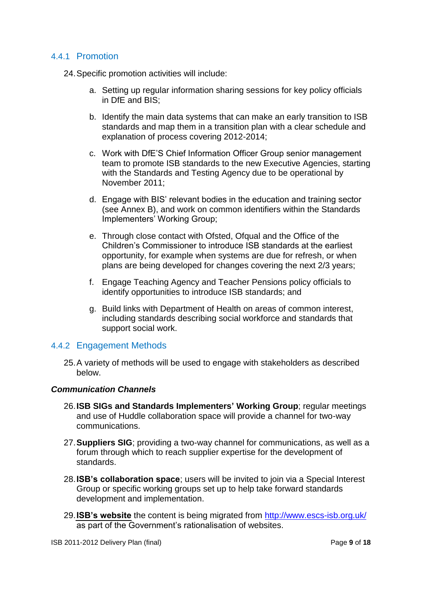#### 4.4.1 Promotion

24.Specific promotion activities will include:

- a. Setting up regular information sharing sessions for key policy officials in DfE and BIS;
- b. Identify the main data systems that can make an early transition to ISB standards and map them in a transition plan with a clear schedule and explanation of process covering 2012-2014;
- c. Work with DfE"S Chief Information Officer Group senior management team to promote ISB standards to the new Executive Agencies, starting with the Standards and Testing Agency due to be operational by November 2011;
- d. Engage with BIS" relevant bodies in the education and training sector (see Annex B), and work on common identifiers within the Standards Implementers" Working Group;
- e. Through close contact with Ofsted, Ofqual and the Office of the Children"s Commissioner to introduce ISB standards at the earliest opportunity, for example when systems are due for refresh, or when plans are being developed for changes covering the next 2/3 years;
- f. Engage Teaching Agency and Teacher Pensions policy officials to identify opportunities to introduce ISB standards; and
- g. Build links with Department of Health on areas of common interest, including standards describing social workforce and standards that support social work.

#### <span id="page-8-0"></span>4.4.2 Engagement Methods

25.A variety of methods will be used to engage with stakeholders as described below.

#### *Communication Channels*

- 26.**ISB SIGs and Standards Implementers" Working Group**; regular meetings and use of Huddle collaboration space will provide a channel for two-way communications.
- 27.**Suppliers SIG**; providing a two-way channel for communications, as well as a forum through which to reach supplier expertise for the development of standards.
- 28.**ISB"s collaboration space**; users will be invited to join via a Special Interest Group or specific working groups set up to help take forward standards development and implementation.
- 29.**[ISB"s website](http://data.gov.uk/education-standards/)** the content is being migrated from [http://www.escs-isb.org.uk/](http://data.gov.uk/education-standards/) as part of the Government"s rationalisation of websites.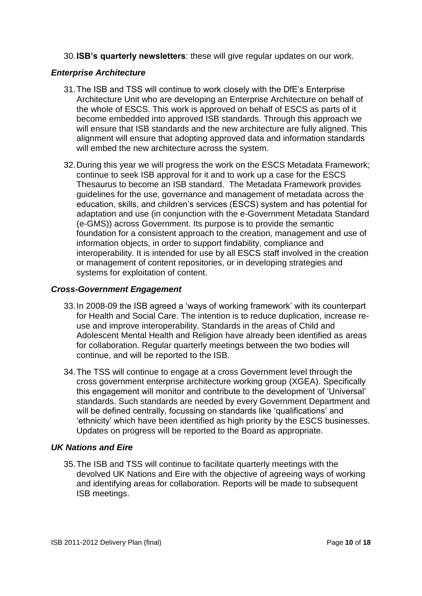30.**ISB"s quarterly newsletters**: these will give regular updates on our work.

#### *Enterprise Architecture*

- 31.The ISB and TSS will continue to work closely with the DfE"s Enterprise Architecture Unit who are developing an Enterprise Architecture on behalf of the whole of ESCS. This work is approved on behalf of ESCS as parts of it become embedded into approved ISB standards. Through this approach we will ensure that ISB standards and the new architecture are fully aligned. This alignment will ensure that adopting approved data and information standards will embed the new architecture across the system.
- 32.During this year we will progress the work on the ESCS Metadata Framework; continue to seek ISB approval for it and to work up a case for the ESCS Thesaurus to become an ISB standard. The Metadata Framework provides guidelines for the use, governance and management of metadata across the education, skills, and children"s services (ESCS) system and has potential for adaptation and use (in conjunction with the e-Government Metadata Standard (e-GMS)) across Government. Its purpose is to provide the semantic foundation for a consistent approach to the creation, management and use of information objects, in order to support findability, compliance and interoperability. It is intended for use by all ESCS staff involved in the creation or management of content repositories, or in developing strategies and systems for exploitation of content.

#### *Cross-Government Engagement*

- 33.In 2008-09 the ISB agreed a "ways of working framework" with its counterpart for Health and Social Care. The intention is to reduce duplication, increase reuse and improve interoperability. Standards in the areas of Child and Adolescent Mental Health and Religion have already been identified as areas for collaboration. Regular quarterly meetings between the two bodies will continue, and will be reported to the ISB.
- 34.The TSS will continue to engage at a cross Government level through the cross government enterprise architecture working group (XGEA). Specifically this engagement will monitor and contribute to the development of "Universal" standards. Such standards are needed by every Government Department and will be defined centrally, focussing on standards like 'qualifications' and "ethnicity" which have been identified as high priority by the ESCS businesses. Updates on progress will be reported to the Board as appropriate.

#### *UK Nations and Eire*

35.The ISB and TSS will continue to facilitate quarterly meetings with the devolved UK Nations and Eire with the objective of agreeing ways of working and identifying areas for collaboration. Reports will be made to subsequent ISB meetings.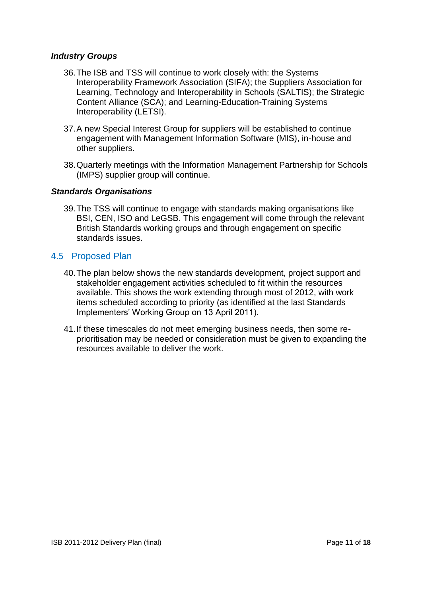#### *Industry Groups*

- 36.The ISB and TSS will continue to work closely with: the Systems Interoperability Framework Association (SIFA); the Suppliers Association for Learning, Technology and Interoperability in Schools (SALTIS); the Strategic Content Alliance (SCA); and Learning-Education-Training Systems Interoperability (LETSI).
- 37.A new Special Interest Group for suppliers will be established to continue engagement with Management Information Software (MIS), in-house and other suppliers.
- 38.Quarterly meetings with the Information Management Partnership for Schools (IMPS) supplier group will continue.

#### *Standards Organisations*

39.The TSS will continue to engage with standards making organisations like BSI, CEN, ISO and LeGSB. This engagement will come through the relevant British Standards working groups and through engagement on specific standards issues.

#### <span id="page-10-0"></span>4.5 Proposed Plan

- 40.The plan below shows the new standards development, project support and stakeholder engagement activities scheduled to fit within the resources available. This shows the work extending through most of 2012, with work items scheduled according to priority (as identified at the last Standards Implementers" Working Group on 13 April 2011).
- 41.If these timescales do not meet emerging business needs, then some reprioritisation may be needed or consideration must be given to expanding the resources available to deliver the work.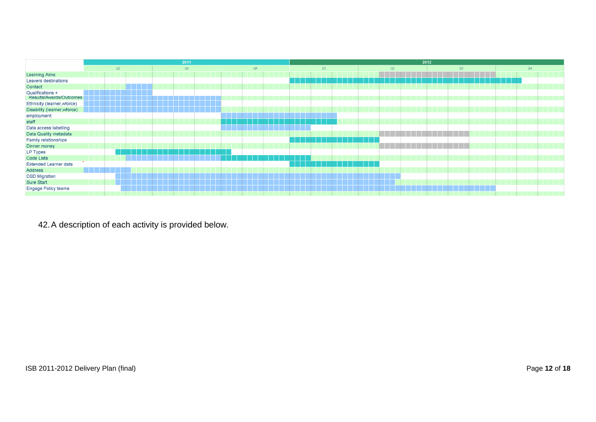|                                             | 2011 |    | 2012 |    |    |    |    |
|---------------------------------------------|------|----|------|----|----|----|----|
|                                             | Q2   | Q3 | Q4   | Q1 | Q2 | Q3 | Q4 |
| <b>Learning Aims</b>                        |      |    |      |    |    |    |    |
| Leavers destinations                        |      |    |      |    |    |    |    |
| Contact                                     |      |    |      |    |    |    |    |
| Qualifications +<br>Results/Awards/Outcomes |      |    |      |    |    |    |    |
| Ethnicity (learner, wforce)                 |      |    |      |    |    |    |    |
| Disability (learner, wforce)                |      |    |      |    |    |    |    |
| employment                                  |      |    |      |    |    |    |    |
| staff                                       |      |    |      |    |    |    |    |
| Data access labelling                       |      |    |      |    |    |    |    |
| Data Quality metadata                       |      |    |      |    |    |    |    |
| Family relationships                        |      |    |      |    |    |    |    |
| Dinner money                                |      |    |      |    |    |    |    |
| LP Types                                    |      |    |      |    |    |    |    |
| Code Lists                                  |      |    |      |    |    |    |    |
| Extended Learner data                       |      |    |      |    |    |    |    |
| Address                                     |      |    |      |    |    |    |    |
| <b>DSD Migration</b>                        |      |    |      |    |    |    |    |
| Sure Start                                  |      |    |      |    |    |    |    |
| Engage Policy teams                         |      |    |      |    |    |    |    |
|                                             |      |    |      |    |    |    |    |

42.A description of each activity is provided below.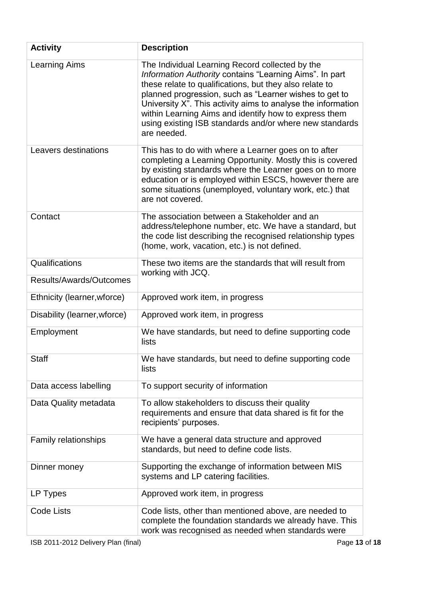| <b>Activity</b>              | <b>Description</b>                                                                                                                                                                                                                                                                                                                                                                                                                 |
|------------------------------|------------------------------------------------------------------------------------------------------------------------------------------------------------------------------------------------------------------------------------------------------------------------------------------------------------------------------------------------------------------------------------------------------------------------------------|
| <b>Learning Aims</b>         | The Individual Learning Record collected by the<br>Information Authority contains "Learning Aims". In part<br>these relate to qualifications, but they also relate to<br>planned progression, such as "Learner wishes to get to<br>University X". This activity aims to analyse the information<br>within Learning Aims and identify how to express them<br>using existing ISB standards and/or where new standards<br>are needed. |
| Leavers destinations         | This has to do with where a Learner goes on to after<br>completing a Learning Opportunity. Mostly this is covered<br>by existing standards where the Learner goes on to more<br>education or is employed within ESCS, however there are<br>some situations (unemployed, voluntary work, etc.) that<br>are not covered.                                                                                                             |
| Contact                      | The association between a Stakeholder and an<br>address/telephone number, etc. We have a standard, but<br>the code list describing the recognised relationship types<br>(home, work, vacation, etc.) is not defined.                                                                                                                                                                                                               |
| Qualifications               | These two items are the standards that will result from<br>working with JCQ.                                                                                                                                                                                                                                                                                                                                                       |
| Results/Awards/Outcomes      |                                                                                                                                                                                                                                                                                                                                                                                                                                    |
| Ethnicity (learner, wforce)  | Approved work item, in progress                                                                                                                                                                                                                                                                                                                                                                                                    |
| Disability (learner, wforce) | Approved work item, in progress                                                                                                                                                                                                                                                                                                                                                                                                    |
| Employment                   | We have standards, but need to define supporting code<br>lists                                                                                                                                                                                                                                                                                                                                                                     |
| <b>Staff</b>                 | We have standards, but need to define supporting code<br>lists                                                                                                                                                                                                                                                                                                                                                                     |
| Data access labelling        | To support security of information                                                                                                                                                                                                                                                                                                                                                                                                 |
| Data Quality metadata        | To allow stakeholders to discuss their quality<br>requirements and ensure that data shared is fit for the<br>recipients' purposes.                                                                                                                                                                                                                                                                                                 |
| Family relationships         | We have a general data structure and approved<br>standards, but need to define code lists.                                                                                                                                                                                                                                                                                                                                         |
| Dinner money                 | Supporting the exchange of information between MIS<br>systems and LP catering facilities.                                                                                                                                                                                                                                                                                                                                          |
| LP Types                     | Approved work item, in progress                                                                                                                                                                                                                                                                                                                                                                                                    |
| <b>Code Lists</b>            | Code lists, other than mentioned above, are needed to<br>complete the foundation standards we already have. This<br>work was recognised as needed when standards were                                                                                                                                                                                                                                                              |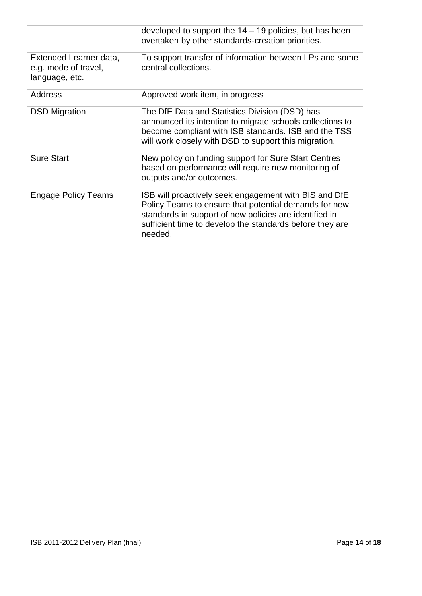|                                                                  | developed to support the $14 - 19$ policies, but has been<br>overtaken by other standards-creation priorities.                                                                                                                                  |
|------------------------------------------------------------------|-------------------------------------------------------------------------------------------------------------------------------------------------------------------------------------------------------------------------------------------------|
| Extended Learner data,<br>e.g. mode of travel,<br>language, etc. | To support transfer of information between LPs and some<br>central collections.                                                                                                                                                                 |
| <b>Address</b>                                                   | Approved work item, in progress                                                                                                                                                                                                                 |
| <b>DSD Migration</b>                                             | The DfE Data and Statistics Division (DSD) has<br>announced its intention to migrate schools collections to<br>become compliant with ISB standards. ISB and the TSS<br>will work closely with DSD to support this migration.                    |
| <b>Sure Start</b>                                                | New policy on funding support for Sure Start Centres<br>based on performance will require new monitoring of<br>outputs and/or outcomes.                                                                                                         |
| Engage Policy Teams                                              | ISB will proactively seek engagement with BIS and DfE<br>Policy Teams to ensure that potential demands for new<br>standards in support of new policies are identified in<br>sufficient time to develop the standards before they are<br>needed. |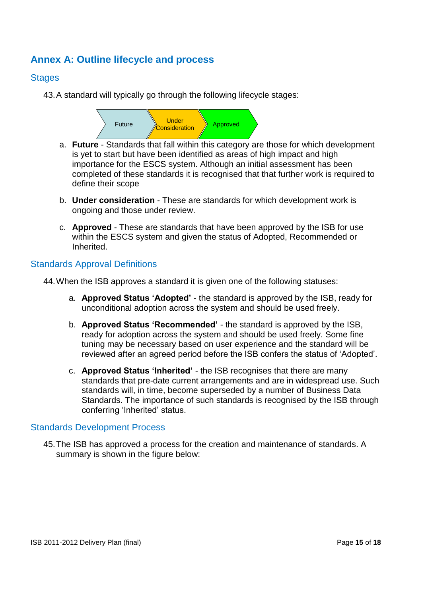## <span id="page-14-0"></span>**Annex A: Outline lifecycle and process**

#### <span id="page-14-1"></span>**Stages**

43.A standard will typically go through the following lifecycle stages:



- a. **Future**  Standards that fall within this category are those for which development is yet to start but have been identified as areas of high impact and high importance for the ESCS system. Although an initial assessment has been completed of these standards it is recognised that that further work is required to define their scope
- b. **Under consideration**  These are standards for which development work is ongoing and those under review.
- c. **Approved**  These are standards that have been approved by the ISB for use within the ESCS system and given the status of Adopted, Recommended or Inherited.

#### <span id="page-14-2"></span>Standards Approval Definitions

44.When the ISB approves a standard it is given one of the following statuses:

- a. **Approved Status "Adopted"** the standard is approved by the ISB, ready for unconditional adoption across the system and should be used freely.
- b. **Approved Status "Recommended"** the standard is approved by the ISB, ready for adoption across the system and should be used freely. Some fine tuning may be necessary based on user experience and the standard will be reviewed after an agreed period before the ISB confers the status of "Adopted".
- c. **Approved Status "Inherited"** the ISB recognises that there are many standards that pre-date current arrangements and are in widespread use. Such standards will, in time, become superseded by a number of Business Data Standards. The importance of such standards is recognised by the ISB through conferring 'Inherited' status.

#### <span id="page-14-3"></span>Standards Development Process

45.The ISB has approved a process for the creation and maintenance of standards. A summary is shown in the figure below: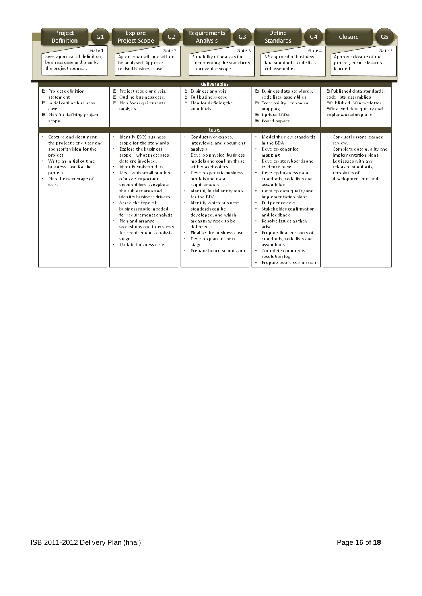| Project<br>G1<br>Definition                                                                                                                                                                   | Explore<br>G <sub>2</sub><br>Project Scope                                                                                                                                                                                                                                                                                                                                                                                                                                                   | <b>Requirements</b><br>G <sub>3</sub><br>Analysis                                                                                                                                                                                                                                                                                                                                                                                                                   | <b>Define</b><br>G4<br><b>Standards</b>                                                                                                                                                                                                                                                                                                                                                                                                                                                                              | Closure<br>G <sub>5</sub>                                                                                                                                                    |
|-----------------------------------------------------------------------------------------------------------------------------------------------------------------------------------------------|----------------------------------------------------------------------------------------------------------------------------------------------------------------------------------------------------------------------------------------------------------------------------------------------------------------------------------------------------------------------------------------------------------------------------------------------------------------------------------------------|---------------------------------------------------------------------------------------------------------------------------------------------------------------------------------------------------------------------------------------------------------------------------------------------------------------------------------------------------------------------------------------------------------------------------------------------------------------------|----------------------------------------------------------------------------------------------------------------------------------------------------------------------------------------------------------------------------------------------------------------------------------------------------------------------------------------------------------------------------------------------------------------------------------------------------------------------------------------------------------------------|------------------------------------------------------------------------------------------------------------------------------------------------------------------------------|
| Gate 1<br>Seek approval of definition,<br>business case and plan by<br>the project sponsor.                                                                                                   | Gate 2<br>Agree what will and will not<br>be analysed. Approve<br>revised business case.                                                                                                                                                                                                                                                                                                                                                                                                     | Gate 3<br>Suitability of analysis for<br>documenting the standards,<br>approve the scope.                                                                                                                                                                                                                                                                                                                                                                           | Gate 4<br>ISB approval of business<br>data standards, code lists<br>and assemblies.                                                                                                                                                                                                                                                                                                                                                                                                                                  | Gate 5<br>Approve closure of the<br>project, ensure lessons<br>learned.                                                                                                      |
|                                                                                                                                                                                               |                                                                                                                                                                                                                                                                                                                                                                                                                                                                                              | deliverables                                                                                                                                                                                                                                                                                                                                                                                                                                                        |                                                                                                                                                                                                                                                                                                                                                                                                                                                                                                                      |                                                                                                                                                                              |
| <b>■</b> Project definition<br>statement<br>■ Initial outline business<br>case<br>■ Plan for defining project<br>scope                                                                        | ■ Project scope analysis.<br>■ ○utline business case.<br><b>■ Plan for requirements</b><br>analysis.                                                                                                                                                                                                                                                                                                                                                                                         | <b>■ Business analysis</b><br><b>■</b> Full business case<br>■ Plan for defining the<br>standards                                                                                                                                                                                                                                                                                                                                                                   | B Business data standards,<br>code lists, assemblies<br>■ Traceability - canonical<br>mapping<br><b>■ Updated BDA</b><br><b>■</b> Board papers                                                                                                                                                                                                                                                                                                                                                                       | ■ Published data standards,<br>code lists, assemblies<br><b>■Published ISB newsletter</b><br><b>■Finalised data quality and</b><br>implementation plans                      |
|                                                                                                                                                                                               |                                                                                                                                                                                                                                                                                                                                                                                                                                                                                              | tasks                                                                                                                                                                                                                                                                                                                                                                                                                                                               |                                                                                                                                                                                                                                                                                                                                                                                                                                                                                                                      |                                                                                                                                                                              |
| Capture and document<br>the project's end user and<br>sponsor's vision for the<br>project<br>• Write an initial outline<br>business case for the<br>project<br>Plan the next stage of<br>work | Identify ESCS business<br>scope for the standards.<br><b>Explore the business</b><br>٠<br>scope - what processes,<br>data are involved.<br>Identify stakeholders.<br>Meet with small number<br>of more important<br>stakeholders to explore<br>the subject area and<br>identify business drivers.<br>Agree the type of<br>business model needed<br>for requirements analysis<br>Plan and arrange<br>workshops and interviews<br>for requirements analysis<br>stage.<br>Update business case. | Conduct workshops,<br>interviews, and document<br>analysis<br>Develop physical business<br>models and confirm these<br>with stakeholders<br>Develop generic business<br>models and data<br>requirements<br>Identify initial entity map<br>for the BDA<br>Identify which business<br>standards can be<br>developed, and which<br>areas may need to be<br>deferred<br><b>Finalise the business case</b><br>Develop plan for next<br>stage<br>Prepare board submission | Model the new standards<br>in the BDA<br>$\bullet$<br>Develop canonical<br>mapping<br>• Develop storyboards and<br>evidence base<br>Develop business data<br>standards, code lists and<br>assemblies<br>Develop data quality and<br>implementation plans<br>Full peer review<br>Stakeholder confirmation<br>and feedback<br>Resolve issues as they<br>$\bullet$<br>arise<br>Prepare final version s of<br>standards, code lists and<br>assemblies<br>Complete comments<br>resolution log<br>Prepare board submission | Conduct lessons learned<br>review.<br>Complete data quality and<br>implementation plans<br>Log issues with any<br>released standards.<br>templates of<br>development method. |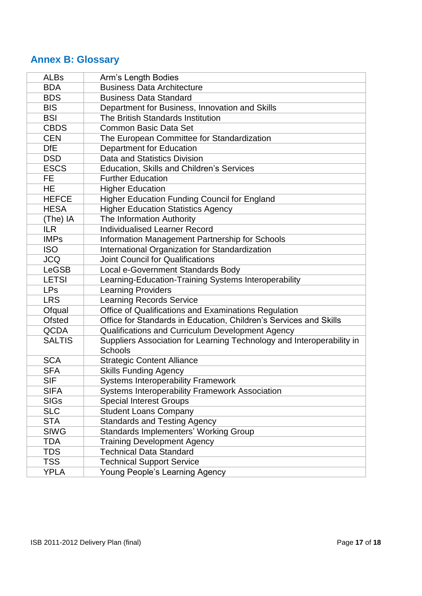## <span id="page-16-0"></span>**Annex B: Glossary**

| <b>ALBs</b>   | Arm's Length Bodies                                                                     |
|---------------|-----------------------------------------------------------------------------------------|
| <b>BDA</b>    | <b>Business Data Architecture</b>                                                       |
| <b>BDS</b>    | <b>Business Data Standard</b>                                                           |
| <b>BIS</b>    | Department for Business, Innovation and Skills                                          |
| <b>BSI</b>    | The British Standards Institution                                                       |
| <b>CBDS</b>   | <b>Common Basic Data Set</b>                                                            |
| <b>CEN</b>    | The European Committee for Standardization                                              |
| <b>DfE</b>    | Department for Education                                                                |
| <b>DSD</b>    | Data and Statistics Division                                                            |
| <b>ESCS</b>   | Education, Skills and Children's Services                                               |
| <b>FE</b>     | <b>Further Education</b>                                                                |
| HE            | <b>Higher Education</b>                                                                 |
| <b>HEFCE</b>  | <b>Higher Education Funding Council for England</b>                                     |
| <b>HESA</b>   | <b>Higher Education Statistics Agency</b>                                               |
| (The) IA      | The Information Authority                                                               |
| <b>ILR</b>    | <b>Individualised Learner Record</b>                                                    |
| <b>IMPs</b>   | Information Management Partnership for Schools                                          |
| <b>ISO</b>    | International Organization for Standardization                                          |
| <b>JCQ</b>    | <b>Joint Council for Qualifications</b>                                                 |
| <b>LeGSB</b>  | Local e-Government Standards Body                                                       |
| <b>LETSI</b>  | Learning-Education-Training Systems Interoperability                                    |
| <b>LPs</b>    | <b>Learning Providers</b>                                                               |
| <b>LRS</b>    | <b>Learning Records Service</b>                                                         |
| Ofqual        | Office of Qualifications and Examinations Regulation                                    |
| <b>Ofsted</b> | Office for Standards in Education, Children's Services and Skills                       |
| <b>QCDA</b>   | Qualifications and Curriculum Development Agency                                        |
| <b>SALTIS</b> | Suppliers Association for Learning Technology and Interoperability in<br><b>Schools</b> |
| <b>SCA</b>    | <b>Strategic Content Alliance</b>                                                       |
| <b>SFA</b>    | <b>Skills Funding Agency</b>                                                            |
| <b>SIF</b>    | <b>Systems Interoperability Framework</b>                                               |
| <b>SIFA</b>   | Systems Interoperability Framework Association                                          |
| <b>SIGs</b>   | <b>Special Interest Groups</b>                                                          |
| <b>SLC</b>    | <b>Student Loans Company</b>                                                            |
| <b>STA</b>    | <b>Standards and Testing Agency</b>                                                     |
| <b>SIWG</b>   | <b>Standards Implementers' Working Group</b>                                            |
| <b>TDA</b>    | <b>Training Development Agency</b>                                                      |
| <b>TDS</b>    | <b>Technical Data Standard</b>                                                          |
| <b>TSS</b>    | <b>Technical Support Service</b>                                                        |
| <b>YPLA</b>   | Young People's Learning Agency                                                          |